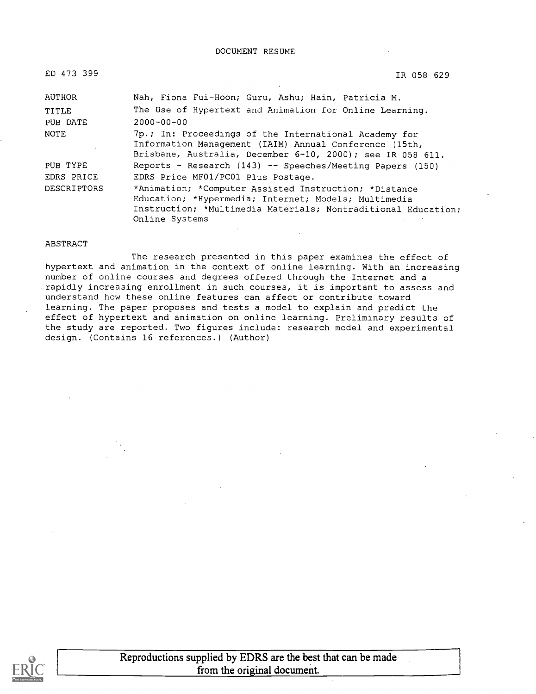| ЕD | 473 | 399 |
|----|-----|-----|
|----|-----|-----|

ED 473 399 IR 058 629

| AUTHOR      | Nah, Fiona Fui-Hoon; Guru, Ashu; Hain, Patricia M.                                                                                                                                               |
|-------------|--------------------------------------------------------------------------------------------------------------------------------------------------------------------------------------------------|
| TITLE       | The Use of Hypertext and Animation for Online Learning.                                                                                                                                          |
| PUB DATE    | $2000 - 00 - 00$                                                                                                                                                                                 |
| NOTE        | 7p.; In: Proceedings of the International Academy for<br>Information Management (IAIM) Annual Conference (15th,<br>Brisbane, Australia, December 6-10, 2000); see IR 058 611.                    |
| PUB TYPE    | Reports - Research (143) -- Speeches/Meeting Papers (150)                                                                                                                                        |
| EDRS PRICE  | EDRS Price MF01/PC01 Plus Postage.                                                                                                                                                               |
| DESCRIPTORS | *Animation; *Computer Assisted Instruction; *Distance<br>Education; *Hypermedia; Internet; Models; Multimedia<br>Instruction; *Multimedia Materials; Nontraditional Education;<br>Online Systems |

#### ABSTRACT

The research presented in this paper examines the effect of hypertext and animation in the context of online learning. With an increasing number of online courses and degrees offered through the Internet and a rapidly increasing enrollment in such courses, it is important to assess and understand how these online features can affect or contribute toward learning. The paper proposes and tests a model to explain and predict the effect of hypertext and animation on online learning. Preliminary results of the study are reported. Two figures include: research model and experimental design. (Contains 16 references.) (Author)

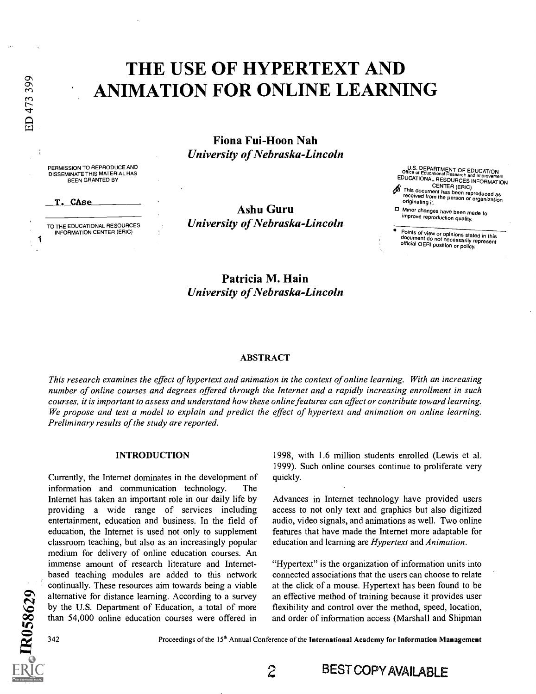# THE USE OF HYPERTEXT AND ANIMATION FOR ONLINE LEARNING

Fiona Fui-Hoon Nah University of Nebraska-Lincoln

PERMISSION TO REPRODUCE AND DISSEMINATE THIS MATERIAL HAS BEEN GRANTED BY

TO THE EDUCATIONAL RESOURCES<br>INFORMATION CENTER (ERIC) INFORMATION CENTER (ERIC)

T. CAse

1

ED 473 399

Ashu Guru University of Nebraska-Lincoln U.S. DEPARTMENT OF EDUCATION<br>Office of Educational Research and Improvement<br>EDUCATIONAL RESOURCES INFORMATION

This document has been reproduced as<br>This document has been reproduced as<br>originating it.

Minor changes have been made to improve reproduction quality.

Points of view or opinions stated in this<br>document do not necessarily represent<br>official OERI position or policy.

Patricia M. Hain University of Nebraska-Lincoln

#### ABSTRACT

This research examines the effect of hypertext and animation in the context of online learning. With an increasing number of online courses and degrees offered through the Internet and a rapidly increasing enrollment in such courses, it is important to assess and understand how these online features can affect or contribute toward learning. We propose and test a model to explain and predict the effect of hypertext and animation on online learning. Preliminary results of the study are reported.

#### INTRODUCTION

 $\sum$  alte co than 54,000 online education courses were offered in and ord  $\sum_{n=1}^{\infty}$   $\frac{1}{2}$ Currently, the Internet dominates in the development of information and communication technology. Internet has taken an important role in our daily life by providing a wide range of services including entertainment, education and business. In the field of education, the Internet is used not only to supplement classroom teaching, but also as an increasingly popular medium for delivery of online education courses. An immense amount of research literature and Internetbased teaching modules are added to this network continually. These resources aim towards being a viable alternative for distance learning. According to a survey by the U.S. Department of Education, a total of more

1998, with 1.6 million students enrolled (Lewis et al. 1999). Such online courses continue to proliferate very quickly.

Advances in Internet technology have provided users access to not only text and graphics but also digitized audio, video signals, and animations as well. Two online features that have made the Internet more adaptable for education and learning are Hypertext and Animation.

"Hypertext" is the organization of information units into connected associations that the users can choose to relate at the click of a mouse. Hypertext has been found to be an effective method of training because it provides user flexibility and control over the method, speed, location, and order of information access (Marshall and Shipman

c:4 342

Proceedings of the 15<sup>th</sup> Annual Conference of the International Academy for Information Management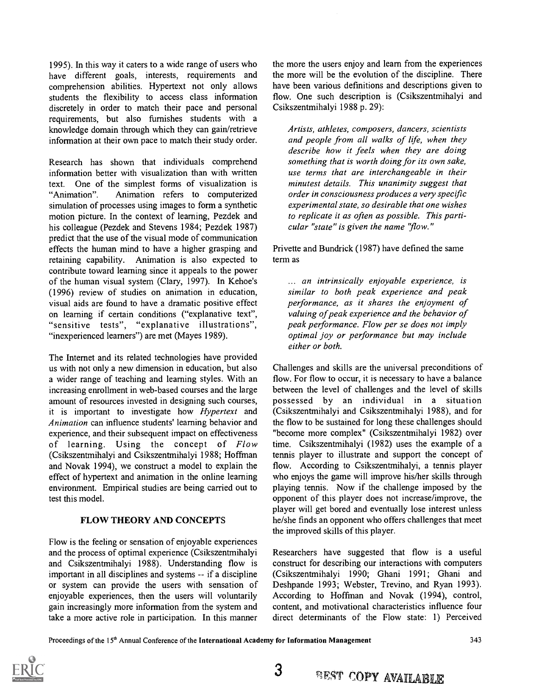1995). In this way it caters to a wide range of users who have different goals, interests, requirements and comprehension abilities. Hypertext not only allows students the flexibility to access class information discretely in order to match their pace and personal requirements, but also furnishes students with a knowledge domain through which they can gain/retrieve information at their own pace to match their study order.

Research has shown that individuals comprehend information better with visualization than with written text. One of the simplest forms of visualization is "Animation". Animation refers to computerized simulation of processes using images to form a synthetic motion picture. In the context of learning, Pezdek and his colleague (Pezdek and Stevens 1984; Pezdek 1987) predict that the use of the visual mode of communication effects the human mind to have a higher grasping and retaining capability. Animation is also expected to contribute toward learning since it appeals to the power of the human visual system (Clary, 1997). In Kehoe's (1996) review of studies on animation in education, visual aids are found to have a dramatic positive effect on learning if certain conditions ("explanative text", "sensitive tests", "explanative illustrations", "inexperienced learners") are met (Mayes 1989).

The Internet and its related technologies have provided us with not only a new dimension in education, but also a wider range of teaching and learning styles. With an increasing enrollment in web-based courses and the large amount of resources invested in designing such courses, it is important to investigate how Hypertext and Animation can influence students' learning behavior and experience, and their subsequent impact on effectiveness of learning. Using the concept of Flow (Csikszentmihalyi and Csikszentmihalyi 1988; Hoffman and Novak 1994), we construct a model to explain the effect of hypertext and animation in the online learning environment. Empirical studies are being carried out to test this model.

### FLOW THEORY AND CONCEPTS

Flow is the feeling or sensation of enjoyable experiences and the process of optimal experience (Csikszentmihalyi and Csikszentmihalyi 1988). Understanding flow is important in all disciplines and systems -- if a discipline or system can provide the users with sensation of enjoyable experiences, then the users will voluntarily gain increasingly more information from the system and take a more active role in participation. In this manner the more the users enjoy and learn from the experiences the more will be the evolution of the discipline. There have been various definitions and descriptions given to flow. One such description is (Csikszentmihalyi and Csikszentmihalyi 1988 p. 29):

Artists, athletes, composers, dancers, scientists and people from all walks of life, when they describe how it feels when they are doing something that is worth doing for its own sake, use terms that are interchangeable in their minutest details. This unanimity suggest that order in consciousness produces a very specific experimental state, so desirable that one wishes to replicate it as often as possible. This particular "state" is given the name 'flow."

Privette and Bundrick (1987) have defined the same term as

... an intrinsically enjoyable experience, is similar to both peak experience and peak performance, as it shares the enjoyment of valuing of peak experience and the behavior of peak performance. Flow per se does not imply optimal joy or performance but may include either or both.

Challenges and skills are the universal preconditions of flow. For flow to occur, it is necessary to have a balance between the level of challenges and the level of skills possessed by an individual in a situation (Csikszentmihalyi and Csikszentmihalyi 1988), and for the flow to be sustained for long these challenges should "become more complex" (Csikszentmihalyi 1982) over time. Csikszentmihalyi (1982) uses the example of a tennis player to illustrate and support the concept of flow. According to Csikszentmihalyi, a tennis player who enjoys the game will improve his/her skills through playing tennis. Now if the challenge imposed by the opponent of this player does not increase/improve, the player will get bored and eventually lose interest unless he/she finds an opponent who offers challenges that meet the improved skills of this player.

Researchers have suggested that flow is a useful construct for describing our interactions with computers (Csikszentmihalyi 1990; Ghani 1991; Ghani and Deshpande 1993; Webster, Trevino, and Ryan 1993). According to Hoffman and Novak (1994), control, content, and motivational characteristics influence four direct determinants of the Flow state: 1) Perceived

Proceedings of the 15<sup>th</sup> Annual Conference of the International Academy for Information Management

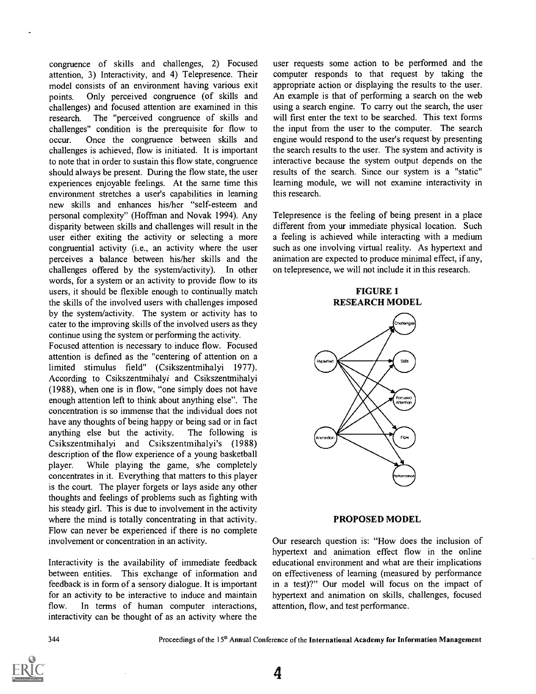congruence of skills and challenges, 2) Focused attention, 3) Interactivity, and 4) Telepresence. Their model consists of an environment having various exit points. Only perceived congruence (of skills and challenges) and focused attention are examined in this research. The "perceived congruence of skills and challenges" condition is the prerequisite for flow to occur. Once the congruence between skills and challenges is achieved, flow is initiated. It is important to note that in order to sustain this flow state, congruence should always be present. During the flow state, the user experiences enjoyable feelings. At the same time this environment stretches a user's capabilities in learning new skills and enhances his/her "self-esteem and personal complexity" (Hoffinan and Novak 1994). Any disparity between skills and challenges will result in the user either exiting the activity or selecting a more congruential activity (i.e., an activity where the user perceives a balance between his/her skills and the challenges offered by the system/activity). In other words, for a system or an activity to provide flow to its users, it should be flexible enough to continually match the skills of the involved users with challenges imposed by the system/activity. The system or activity has to cater to the improving skills of the involved users as they continue using the system or performing the activity.

Focused attention is necessary to induce flow. Focused attention is defined as the "centering of attention on a limited stimulus field" (Csikszentmihalyi 1977). According to Csikszentmihalyi and Csikszentmihalyi (1988), when one is in flow, "one simply does not have enough attention left to think about anything else". The concentration is so immense that the individual does not have any thoughts of being happy or being sad or in fact anything else but the activity. The following is Csikszentmihalyi and Csikszentmihalyi's (1988) description of the flow experience of a young basketball player. While playing the game, s/he completely concentrates in it. Everything that matters to this player is the court. The player forgets or lays aside any other thoughts and feelings of problems such as fighting with his steady girl. This is due to involvement in the activity where the mind is totally concentrating in that activity. Flow can never be experienced if there is no complete involvement or concentration in an activity.

Interactivity is the availability of immediate feedback between entities. This exchange of information and feedback is in form of a sensory dialogue. It is important for an activity to be interactive to induce and maintain flow. In terms of human computer interactions, interactivity can be thought of as an activity where the

user requests some action to be performed and the computer responds to that request by taking the appropriate action or displaying the results to the user. An example is that of performing a search on the web using a search engine. To carry out the search, the user will first enter the text to be searched. This text forms the input from the user to the computer. The search engine would respond to the user's request by presenting the search results to the user. The system and activity is interactive because the system output depends on the results of the search. Since our system is a "static" learning module, we will not examine interactivity in this research.

Telepresence is the feeling of being present in a place different from your immediate physical location. Such a feeling is achieved while interacting with a medium such as one involving virtual reality. As hypertext and animation are expected to produce minimal effect, if any, on telepresence, we will not include it in this research.

> FIGURE 1 RESEARCH MODEL



#### PROPOSED MODEL

Our research question is: "How does the inclusion of hypertext and animation effect flow in the online educational environment and what are their implications on effectiveness of learning (measured by performance in a test)?" Our model will focus on the impact of hypertext and animation on skills, challenges, focused attention, flow, and test performance.

4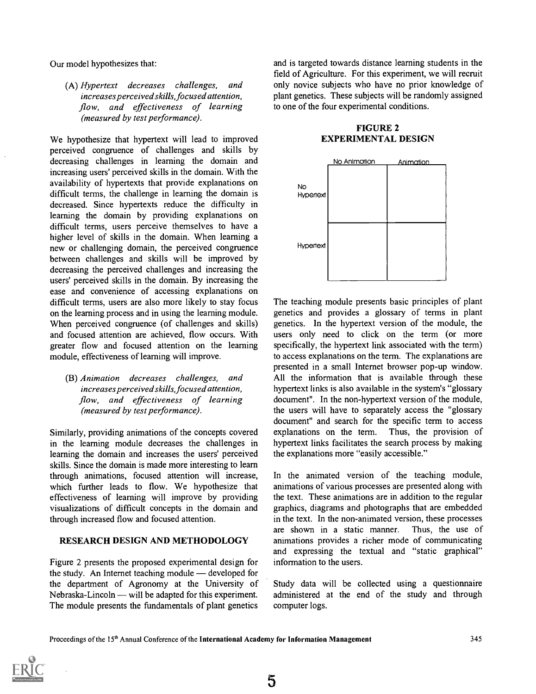Our model hypothesizes that:

(A) Hypertext decreases challenges, and increases perceived skills, focused attention, flow, and effectiveness of learning (measured by test performance).

We hypothesize that hypertext will lead to improved perceived congruence of challenges and skills by decreasing challenges in learning the domain and increasing users' perceived skills in the domain. With the availability of hypertexts that provide explanations on difficult terms, the challenge in learning the domain is decreased. Since hypertexts reduce the difficulty in learning the domain by providing explanations on difficult terms, users perceive themselves to have a higher level of skills in the domain. When learning a new or challenging domain, the perceived congruence between challenges and skills will be improved by decreasing the perceived challenges and increasing the users' perceived skills in the domain. By increasing the ease and convenience of accessing explanations on difficult terms, users are also more likely to stay focus on the learning process and in using the learning module. When perceived congruence (of challenges and skills) and focused attention are achieved, flow occurs. With greater flow and focused attention on the learning module, effectiveness of learning will improve.

(B) Animation decreases challenges, and increases perceived skills, focused attention, flow, and effectiveness of learning (measured by test performance).

Similarly, providing animations of the concepts covered in the learning module decreases the challenges in learning the domain and increases the users' perceived skills. Since the domain is made more interesting to learn through animations, focused attention will increase, which further leads to flow. We hypothesize that effectiveness of learning will improve by providing visualizations of difficult concepts in the domain and through increased flow and focused attention.

### RESEARCH DESIGN AND METHODOLOGY

Figure 2 presents the proposed experimental design for the study. An Internet teaching module  $-$  developed for the department of Agronomy at the University of Nebraska-Lincoln — will be adapted for this experiment. The module presents the fundamentals of plant genetics

and is targeted towards distance learning students in the field of Agriculture. For this experiment, we will recruit only novice subjects who have no prior knowledge of plant genetics. These subjects will be randomly assigned to one of the four experimental conditions.

# FIGURE 2 EXPERIMENTAL DESIGN



The teaching module presents basic principles of plant genetics and provides a glossary of terms in plant genetics. In the hypertext version of the module, the users only need to click on the term (or more specifically, the hypertext link associated with the term) to access explanations on the term. The explanations are presented in a small Internet browser pop-up window. All the information that is available through these hypertext links is also available in the system's "glossary document". In the non-hypertext version of the module, the users will have to separately access the "glossary document" and search for the specific term to access explanations on the term. Thus, the provision of hypertext links facilitates the search process by making the explanations more "easily accessible."

In the animated version of the teaching module, animations of various processes are presented along with the text. These animations are in addition to the regular graphics, diagrams and photographs that are embedded in the text. In the non-animated version, these processes are shown in a static manner. Thus, the use of animations provides a richer mode of communicating and expressing the textual and "static graphical" information to the users.

Study data will be collected using a questionnaire administered at the end of the study and through computer logs.

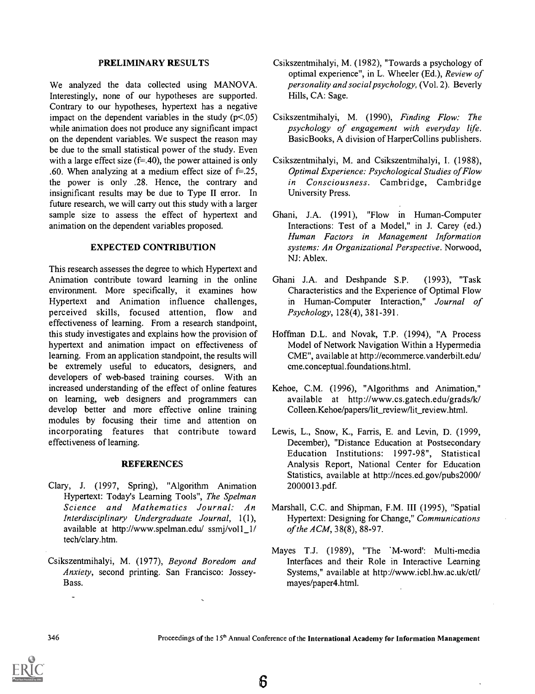#### PRELIMINARY RESULTS

We analyzed the data collected using MANOVA. Interestingly, none of our hypotheses are supported. Contrary to our hypotheses, hypertext has a negative impact on the dependent variables in the study  $(p<.05)$ while animation does not produce any significant impact on the dependent variables. We suspect the reason may be due to the small statistical power of the study. Even with a large effect size  $(f=.40)$ , the power attained is only .60. When analyzing at a medium effect size of  $f=.25$ , the power is only .28. Hence, the contrary and insignificant results may be due to Type II error. In future research, we will carry out this study with a larger sample size to assess the effect of hypertext and animation on the dependent variables proposed.

## EXPECTED CONTRIBUTION

This research assesses the degree to which Hypertext and Animation contribute toward learning in the online environment. More specifically, it examines how Hypertext and Animation influence challenges, perceived skills, focused attention, flow and effectiveness of learning. From a research standpoint, this study investigates and explains how the provision of hypertext and animation impact on effectiveness of learning. From an application standpoint, the results will be extremely useful to educators, designers, and developers of web-based training courses. With an increased understanding of the effect of online features on learning, web designers and programmers can develop better and more effective online training modules by focusing their time and attention on incorporating features that contribute toward effectiveness of learning.

### **REFERENCES**

- Clary, J. (1997, Spring), "Algorithm Animation Hypertext: Today's Learning Tools", The Spelman Science and Mathematics Journal: An Interdisciplinary Undergraduate Journal, 1(1), available at http://www.spelman.edu/ ssmj/vol1 1/ tech/clary.htm.
- Csikszentmihalyi, M. (1977), Beyond Boredom and Anxiety, second printing. San Francisco: Jossey-Bass.
- Csikszentmihalyi, M. (1982), "Towards a psychology of optimal experience", in L. Wheeler (Ed.), Review of personality and social psychology, (Vol. 2). Beverly Hills, CA: Sage.
- Csikszentmihalyi, M. (1990), Finding Flow: The psychology of engagement with everyday life. BasicBooks, A division of HarperCollins publishers.
- Csikszentmihalyi, M. and Csikszentmihalyi, I. (1988), Optimal Experience: Psychological Studies of Flow in Consciousness. Cambridge, Cambridge University Press.
- Ghani, J.A. (1991), "Flow in Human-Computer Interactions: Test of a Model," in J. Carey (ed.) Human Factors in Management Information systems: An Organizational Perspective. Norwood, NJ: Ablex.
- Ghani J.A. and Deshpande S.P. (1993), "Task Characteristics and the Experience of Optimal Flow in Human-Computer Interaction," Journal of Psychology, 128(4), 381-391.
- Hoffman D.L. and Novak, T.P. (1994), "A Process Model of Network Navigation Within a Hypermedia CME", available at http://ecommerce.vanderbilt.edu/ cme.conceptual.foundations.html.
- Kehoe, C.M. (1996), "Algorithms and Animation," available at http://www.cs.gatech.edu/grads/k/ Colleen.Kehoe/papers/lit\_review/lit\_review.html.
- Lewis, L., Snow, K., Farris, E. and Levin, D. (1999, December), "Distance Education at Postsecondary Education Institutions: 1997-98", Statistical Analysis Report, National Center for Education Statistics, available at http://nces.ed.gov/pubs2000/ 2000013 .pdf.
- Marshall, C.C. and Shipman, F.M. III (1995), "Spatial Hypertext: Designing for Change," Communications of the ACM, 38(8), 88-97.
- Mayes T.J. (1989), "The 'M-word': Multi-media Interfaces and their Role in Interactive Learning Systems," available at http://www.icbl.hw.ac.uk/ctl/ mayes/paper4.html.

 $\overline{a}$ 

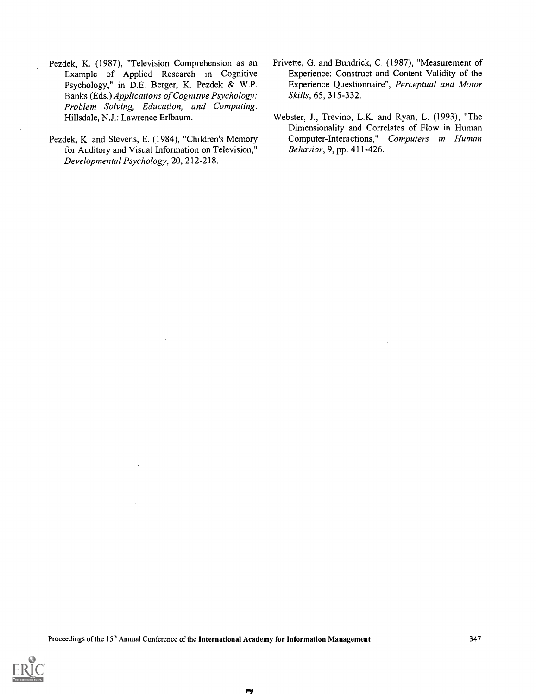- Pezdek, K. (1987), "Television Comprehension as an Example of Applied Research in Cognitive Psychology," in D.E. Berger, K. Pezdek & W.P. Banks (Eds.) Applications of Cognitive Psychology: Problem Solving, Education, and Computing. Hillsdale, N.J.: Lawrence Erlbaum.
- Pezdek, K. and Stevens, E. (1984), "Children's Memory for Auditory and Visual Information on Television," Developmental Psychology, 20, 212-218.
- Privette, G. and Bundrick, C. (1987), "Measurement of Experience: Construct and Content Validity of the Experience Questionnaire", Perceptual and Motor Skills, 65, 315-332.
- Webster, J., Trevino, L.K. and Ryan, L. (1993), "The Dimensionality and Correlates of Flow in Human Computer-Interactions," Computers in Human Behavior, 9, pp. 411-426.



 $\mathbf{r}$